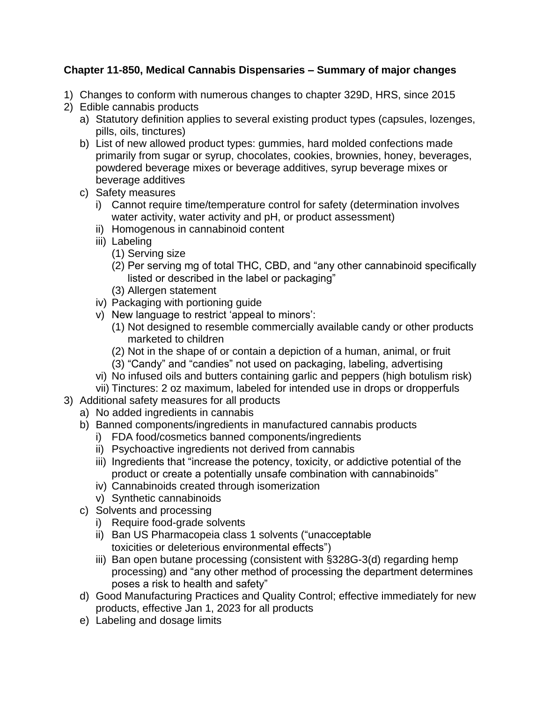## **Chapter 11-850, Medical Cannabis Dispensaries – Summary of major changes**

- 1) Changes to conform with numerous changes to chapter 329D, HRS, since 2015
- 2) Edible cannabis products
	- a) Statutory definition applies to several existing product types (capsules, lozenges, pills, oils, tinctures)
	- b) List of new allowed product types: gummies, hard molded confections made primarily from sugar or syrup, chocolates, cookies, brownies, honey, beverages, powdered beverage mixes or beverage additives, syrup beverage mixes or beverage additives
	- c) Safety measures
		- i) Cannot require time/temperature control for safety (determination involves water activity, water activity and pH, or product assessment)
		- ii) Homogenous in cannabinoid content
		- iii) Labeling
			- (1) Serving size
			- (2) Per serving mg of total THC, CBD, and "any other cannabinoid specifically listed or described in the label or packaging"
			- (3) Allergen statement
		- iv) Packaging with portioning guide
		- v) New language to restrict 'appeal to minors':
			- (1) Not designed to resemble commercially available candy or other products marketed to children
			- (2) Not in the shape of or contain a depiction of a human, animal, or fruit
			- (3) "Candy" and "candies" not used on packaging, labeling, advertising
		- vi) No infused oils and butters containing garlic and peppers (high botulism risk)
		- vii) Tinctures: 2 oz maximum, labeled for intended use in drops or dropperfuls
- 3) Additional safety measures for all products
	- a) No added ingredients in cannabis
	- b) Banned components/ingredients in manufactured cannabis products
		- i) FDA food/cosmetics banned components/ingredients
		- ii) Psychoactive ingredients not derived from cannabis
		- iii) Ingredients that "increase the potency, toxicity, or addictive potential of the product or create a potentially unsafe combination with cannabinoids"
		- iv) Cannabinoids created through isomerization
		- v) Synthetic cannabinoids
	- c) Solvents and processing
		- i) Require food-grade solvents
		- ii) Ban US Pharmacopeia class 1 solvents ("unacceptable toxicities or deleterious environmental effects")
		- iii) Ban open butane processing (consistent with §328G-3(d) regarding hemp processing) and "any other method of processing the department determines poses a risk to health and safety"
	- d) Good Manufacturing Practices and Quality Control; effective immediately for new products, effective Jan 1, 2023 for all products
	- e) Labeling and dosage limits